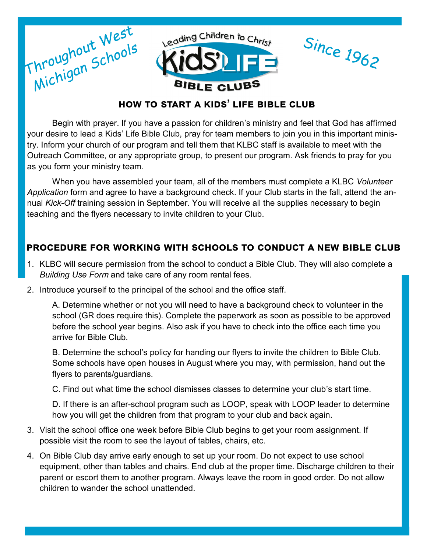

Begin with prayer. If you have a passion for children's ministry and feel that God has affirmed your desire to lead a Kids' Life Bible Club, pray for team members to join you in this important ministry. Inform your church of our program and tell them that KLBC staff is available to meet with the Outreach Committee, or any appropriate group, to present our program. Ask friends to pray for you as you form your ministry team.

When you have assembled your team, all of the members must complete a KLBC *Volunteer Application* form and agree to have a background check. If your Club starts in the fall, attend the annual *Kick-Off* training session in September. You will receive all the supplies necessary to begin teaching and the flyers necessary to invite children to your Club.

# **procedure for working with schools to conduct a new bible club**

- 1. KLBC will secure permission from the school to conduct a Bible Club. They will also complete a *Building Use Form* and take care of any room rental fees.
- 2. Introduce yourself to the principal of the school and the office staff.

A. Determine whether or not you will need to have a background check to volunteer in the school (GR does require this). Complete the paperwork as soon as possible to be approved before the school year begins. Also ask if you have to check into the office each time you arrive for Bible Club.

B. Determine the school's policy for handing our flyers to invite the children to Bible Club. Some schools have open houses in August where you may, with permission, hand out the flyers to parents/guardians.

C. Find out what time the school dismisses classes to determine your club's start time.

D. If there is an after-school program such as LOOP, speak with LOOP leader to determine how you will get the children from that program to your club and back again.

- 3. Visit the school office one week before Bible Club begins to get your room assignment. If possible visit the room to see the layout of tables, chairs, etc.
- 4. On Bible Club day arrive early enough to set up your room. Do not expect to use school equipment, other than tables and chairs. End club at the proper time. Discharge children to their parent or escort them to another program. Always leave the room in good order. Do not allow children to wander the school unattended.